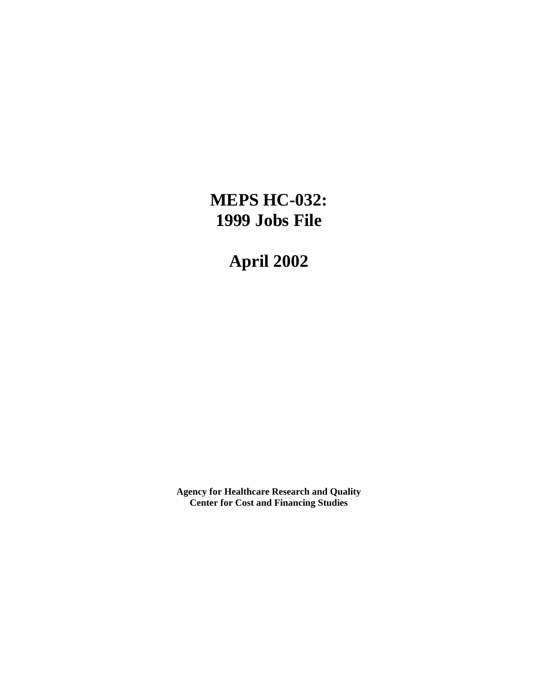# **MEPS HC-032: 1999 Jobs File**

**April 2002**

**Agency for Healthcare Research and Quality Center for Cost and Financing Studies**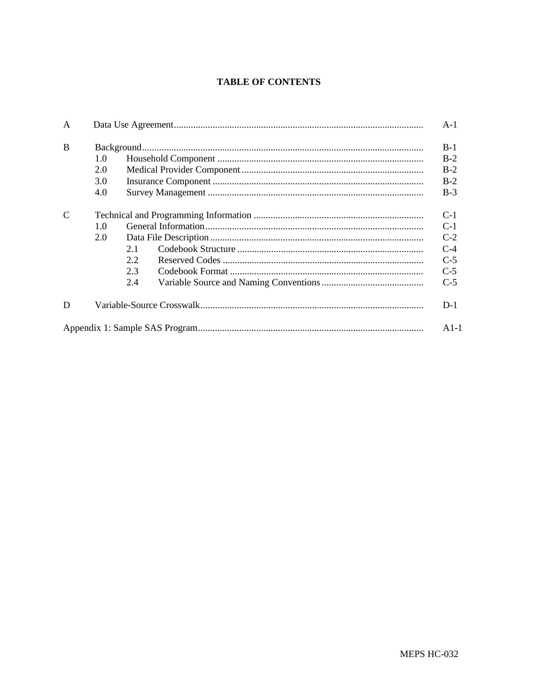### **TABLE OF CONTENTS**

| A             |     |     |  | $A-1$  |  |  |  |
|---------------|-----|-----|--|--------|--|--|--|
| <sub>R</sub>  |     |     |  |        |  |  |  |
|               | 1.0 |     |  | $B-2$  |  |  |  |
|               | 2.0 |     |  | $B-2$  |  |  |  |
|               | 3.0 |     |  | $B-2$  |  |  |  |
|               | 4.0 |     |  |        |  |  |  |
| $\mathcal{C}$ |     |     |  |        |  |  |  |
|               | 1.0 |     |  |        |  |  |  |
|               | 2.0 |     |  |        |  |  |  |
|               |     | 2.1 |  | $C-4$  |  |  |  |
|               |     | 2.2 |  | $C-5$  |  |  |  |
|               |     | 2.3 |  | $C-5$  |  |  |  |
|               |     | 2.4 |  | $C-5$  |  |  |  |
| D             |     |     |  | $D-1$  |  |  |  |
|               |     |     |  | $A1-1$ |  |  |  |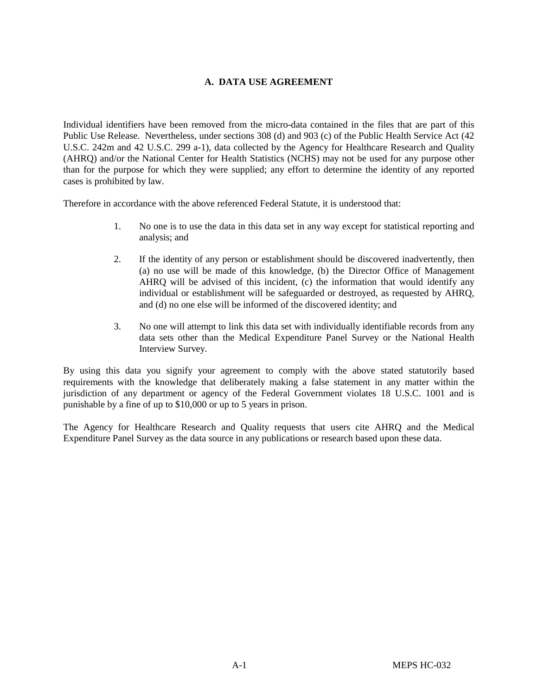#### **A. DATA USE AGREEMENT**

Individual identifiers have been removed from the micro-data contained in the files that are part of this Public Use Release. Nevertheless, under sections 308 (d) and 903 (c) of the Public Health Service Act (42 U.S.C. 242m and 42 U.S.C. 299 a-1), data collected by the Agency for Healthcare Research and Quality (AHRQ) and/or the National Center for Health Statistics (NCHS) may not be used for any purpose other than for the purpose for which they were supplied; any effort to determine the identity of any reported cases is prohibited by law.

Therefore in accordance with the above referenced Federal Statute, it is understood that:

- 1. No one is to use the data in this data set in any way except for statistical reporting and analysis; and
- 2. If the identity of any person or establishment should be discovered inadvertently, then (a) no use will be made of this knowledge, (b) the Director Office of Management AHRQ will be advised of this incident, (c) the information that would identify any individual or establishment will be safeguarded or destroyed, as requested by AHRQ, and (d) no one else will be informed of the discovered identity; and
- 3. No one will attempt to link this data set with individually identifiable records from any data sets other than the Medical Expenditure Panel Survey or the National Health Interview Survey.

By using this data you signify your agreement to comply with the above stated statutorily based requirements with the knowledge that deliberately making a false statement in any matter within the jurisdiction of any department or agency of the Federal Government violates 18 U.S.C. 1001 and is punishable by a fine of up to \$10,000 or up to 5 years in prison.

The Agency for Healthcare Research and Quality requests that users cite AHRQ and the Medical Expenditure Panel Survey as the data source in any publications or research based upon these data.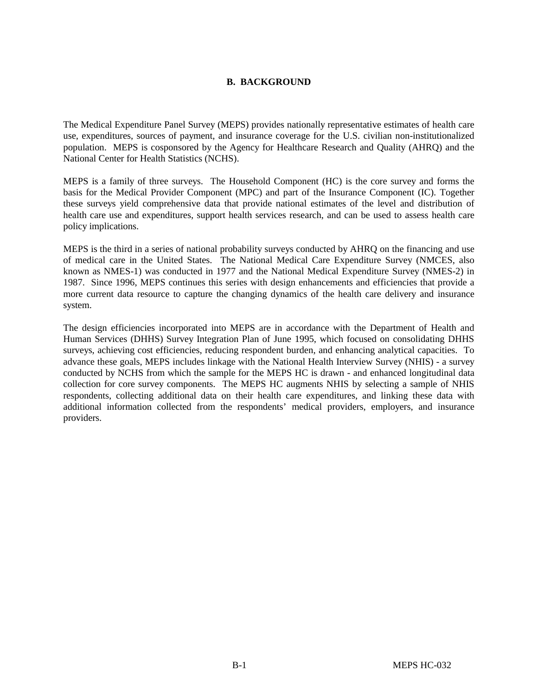#### **B. BACKGROUND**

The Medical Expenditure Panel Survey (MEPS) provides nationally representative estimates of health care use, expenditures, sources of payment, and insurance coverage for the U.S. civilian non-institutionalized population. MEPS is cosponsored by the Agency for Healthcare Research and Quality (AHRQ) and the National Center for Health Statistics (NCHS).

MEPS is a family of three surveys. The Household Component (HC) is the core survey and forms the basis for the Medical Provider Component (MPC) and part of the Insurance Component (IC). Together these surveys yield comprehensive data that provide national estimates of the level and distribution of health care use and expenditures, support health services research, and can be used to assess health care policy implications.

MEPS is the third in a series of national probability surveys conducted by AHRQ on the financing and use of medical care in the United States. The National Medical Care Expenditure Survey (NMCES, also known as NMES-1) was conducted in 1977 and the National Medical Expenditure Survey (NMES-2) in 1987. Since 1996, MEPS continues this series with design enhancements and efficiencies that provide a more current data resource to capture the changing dynamics of the health care delivery and insurance system.

The design efficiencies incorporated into MEPS are in accordance with the Department of Health and Human Services (DHHS) Survey Integration Plan of June 1995, which focused on consolidating DHHS surveys, achieving cost efficiencies, reducing respondent burden, and enhancing analytical capacities. To advance these goals, MEPS includes linkage with the National Health Interview Survey (NHIS) - a survey conducted by NCHS from which the sample for the MEPS HC is drawn - and enhanced longitudinal data collection for core survey components. The MEPS HC augments NHIS by selecting a sample of NHIS respondents, collecting additional data on their health care expenditures, and linking these data with additional information collected from the respondents' medical providers, employers, and insurance providers.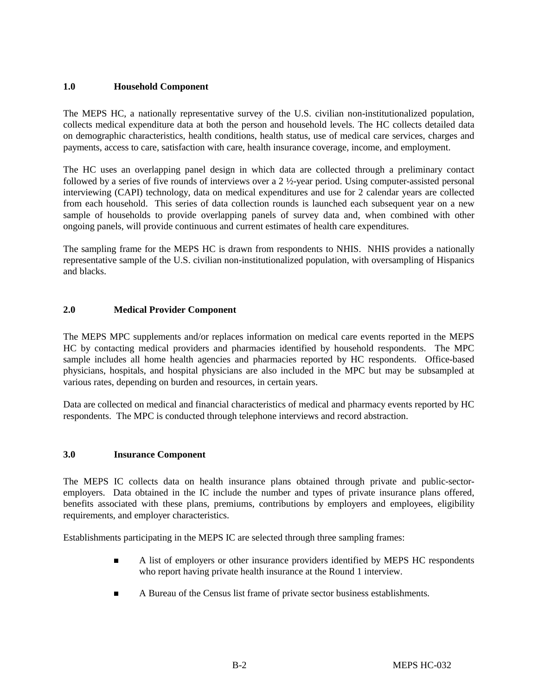#### **1.0 Household Component**

The MEPS HC, a nationally representative survey of the U.S. civilian non-institutionalized population, collects medical expenditure data at both the person and household levels. The HC collects detailed data on demographic characteristics, health conditions, health status, use of medical care services, charges and payments, access to care, satisfaction with care, health insurance coverage, income, and employment.

The HC uses an overlapping panel design in which data are collected through a preliminary contact followed by a series of five rounds of interviews over a 2 ½-year period. Using computer-assisted personal interviewing (CAPI) technology, data on medical expenditures and use for 2 calendar years are collected from each household. This series of data collection rounds is launched each subsequent year on a new sample of households to provide overlapping panels of survey data and, when combined with other ongoing panels, will provide continuous and current estimates of health care expenditures.

The sampling frame for the MEPS HC is drawn from respondents to NHIS. NHIS provides a nationally representative sample of the U.S. civilian non-institutionalized population, with oversampling of Hispanics and blacks.

#### **2.0 Medical Provider Component**

The MEPS MPC supplements and/or replaces information on medical care events reported in the MEPS HC by contacting medical providers and pharmacies identified by household respondents. The MPC sample includes all home health agencies and pharmacies reported by HC respondents. Office-based physicians, hospitals, and hospital physicians are also included in the MPC but may be subsampled at various rates, depending on burden and resources, in certain years.

Data are collected on medical and financial characteristics of medical and pharmacy events reported by HC respondents. The MPC is conducted through telephone interviews and record abstraction.

#### **3.0 Insurance Component**

The MEPS IC collects data on health insurance plans obtained through private and public-sectoremployers. Data obtained in the IC include the number and types of private insurance plans offered, benefits associated with these plans, premiums, contributions by employers and employees, eligibility requirements, and employer characteristics.

Establishments participating in the MEPS IC are selected through three sampling frames:

- $\blacksquare$  A list of employers or other insurance providers identified by MEPS HC respondents who report having private health insurance at the Round 1 interview.
- $\blacksquare$ A Bureau of the Census list frame of private sector business establishments.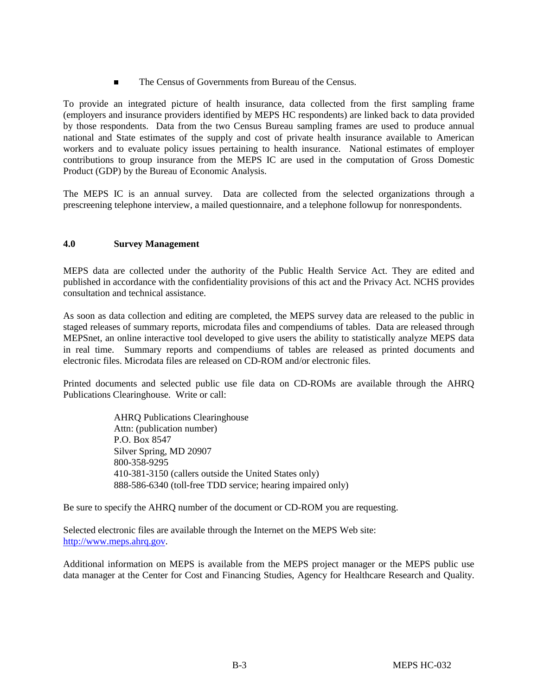$\blacksquare$ The Census of Governments from Bureau of the Census.

To provide an integrated picture of health insurance, data collected from the first sampling frame (employers and insurance providers identified by MEPS HC respondents) are linked back to data provided by those respondents. Data from the two Census Bureau sampling frames are used to produce annual national and State estimates of the supply and cost of private health insurance available to American workers and to evaluate policy issues pertaining to health insurance. National estimates of employer contributions to group insurance from the MEPS IC are used in the computation of Gross Domestic Product (GDP) by the Bureau of Economic Analysis.

The MEPS IC is an annual survey. Data are collected from the selected organizations through a prescreening telephone interview, a mailed questionnaire, and a telephone followup for nonrespondents.

#### **4.0 Survey Management**

MEPS data are collected under the authority of the Public Health Service Act. They are edited and published in accordance with the confidentiality provisions of this act and the Privacy Act. NCHS provides consultation and technical assistance.

As soon as data collection and editing are completed, the MEPS survey data are released to the public in staged releases of summary reports, microdata files and compendiums of tables. Data are released through MEPSnet, an online interactive tool developed to give users the ability to statistically analyze MEPS data in real time. Summary reports and compendiums of tables are released as printed documents and electronic files. Microdata files are released on CD-ROM and/or electronic files.

Printed documents and selected public use file data on CD-ROMs are available through the AHRQ Publications Clearinghouse. Write or call:

> AHRQ Publications Clearinghouse Attn: (publication number) P.O. Box 8547 Silver Spring, MD 20907 800-358-9295 410-381-3150 (callers outside the United States only) 888-586-6340 (toll-free TDD service; hearing impaired only)

Be sure to specify the AHRQ number of the document or CD-ROM you are requesting.

Selected electronic files are available through the Internet on the MEPS Web site: http://www.meps.ahrq.gov.

Additional information on MEPS is available from the MEPS project manager or the MEPS public use data manager at the Center for Cost and Financing Studies, Agency for Healthcare Research and Quality.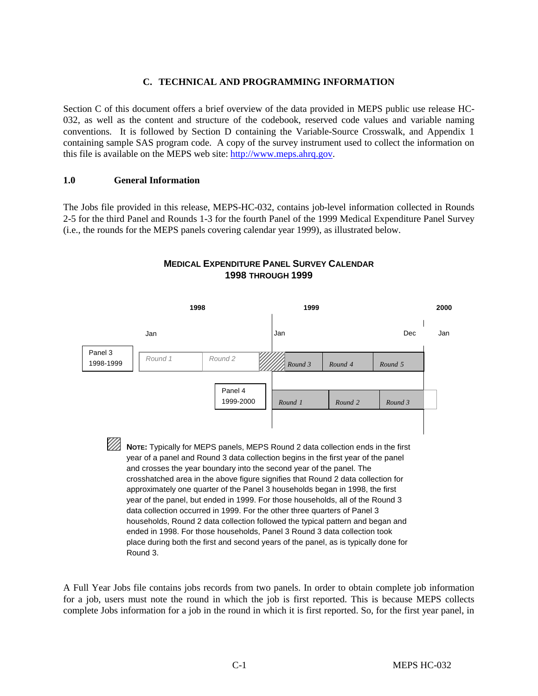#### **C. TECHNICAL AND PROGRAMMING INFORMATION**

Section C of this document offers a brief overview of the data provided in MEPS public use release HC-032, as well as the content and structure of the codebook, reserved code values and variable naming conventions. It is followed by Section D containing the Variable-Source Crosswalk, and Appendix 1 containing sample SAS program code. A copy of the survey instrument used to collect the information on this file is available on the MEPS web site: http://www.meps.ahrq.gov.

#### **1.0 General Information**

The Jobs file provided in this release, MEPS-HC-032, contains job-level information collected in Rounds 2-5 for the third Panel and Rounds 1-3 for the fourth Panel of the 1999 Medical Expenditure Panel Survey (i.e., the rounds for the MEPS panels covering calendar year 1999), as illustrated below.



#### **MEDICAL EXPENDITURE PANEL SURVEY CALENDAR 1998 THROUGH 1999**

A Full Year Jobs file contains jobs records from two panels. In order to obtain complete job information for a job, users must note the round in which the job is first reported. This is because MEPS collects complete Jobs information for a job in the round in which it is first reported. So, for the first year panel, in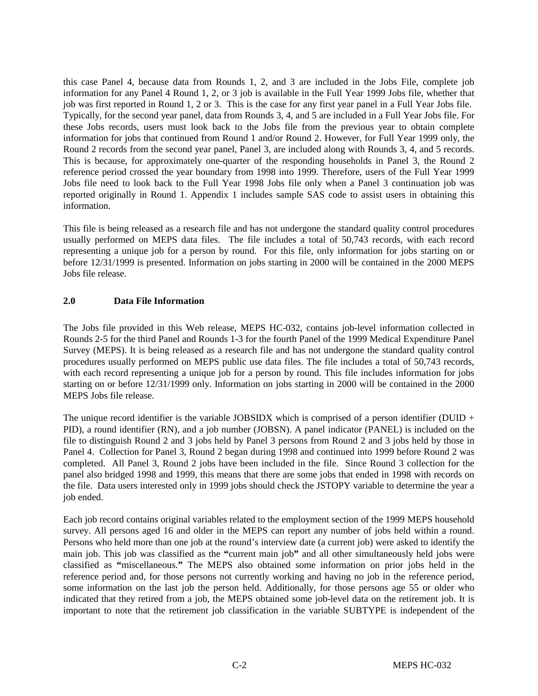this case Panel 4, because data from Rounds 1, 2, and 3 are included in the Jobs File, complete job information for any Panel 4 Round 1, 2, or 3 job is available in the Full Year 1999 Jobs file, whether that job was first reported in Round 1, 2 or 3. This is the case for any first year panel in a Full Year Jobs file. Typically, for the second year panel, data from Rounds 3, 4, and 5 are included in a Full Year Jobs file. For these Jobs records, users must look back to the Jobs file from the previous year to obtain complete information for jobs that continued from Round 1 and/or Round 2. However, for Full Year 1999 only, the Round 2 records from the second year panel, Panel 3, are included along with Rounds 3, 4, and 5 records. This is because, for approximately one-quarter of the responding households in Panel 3, the Round 2 reference period crossed the year boundary from 1998 into 1999. Therefore, users of the Full Year 1999 Jobs file need to look back to the Full Year 1998 Jobs file only when a Panel 3 continuation job was reported originally in Round 1. Appendix 1 includes sample SAS code to assist users in obtaining this information.

This file is being released as a research file and has not undergone the standard quality control procedures usually performed on MEPS data files. The file includes a total of 50,743 records, with each record representing a unique job for a person by round. For this file, only information for jobs starting on or before 12/31/1999 is presented. Information on jobs starting in 2000 will be contained in the 2000 MEPS Jobs file release.

#### **2.0 Data File Information**

The Jobs file provided in this Web release, MEPS HC-032, contains job-level information collected in Rounds 2-5 for the third Panel and Rounds 1-3 for the fourth Panel of the 1999 Medical Expenditure Panel Survey (MEPS). It is being released as a research file and has not undergone the standard quality control procedures usually performed on MEPS public use data files. The file includes a total of 50,743 records, with each record representing a unique job for a person by round. This file includes information for jobs starting on or before 12/31/1999 only. Information on jobs starting in 2000 will be contained in the 2000 MEPS Jobs file release.

The unique record identifier is the variable JOBSIDX which is comprised of a person identifier (DUID + PID), a round identifier (RN), and a job number (JOBSN). A panel indicator (PANEL) is included on the file to distinguish Round 2 and 3 jobs held by Panel 3 persons from Round 2 and 3 jobs held by those in Panel 4. Collection for Panel 3, Round 2 began during 1998 and continued into 1999 before Round 2 was completed. All Panel 3, Round 2 jobs have been included in the file. Since Round 3 collection for the panel also bridged 1998 and 1999, this means that there are some jobs that ended in 1998 with records on the file. Data users interested only in 1999 jobs should check the JSTOPY variable to determine the year a job ended.

Each job record contains original variables related to the employment section of the 1999 MEPS household survey. All persons aged 16 and older in the MEPS can report any number of jobs held within a round. Persons who held more than one job at the round's interview date (a current job) were asked to identify the main job. This job was classified as the **"**current main job**"** and all other simultaneously held jobs were classified as **"**miscellaneous.**"** The MEPS also obtained some information on prior jobs held in the reference period and, for those persons not currently working and having no job in the reference period, some information on the last job the person held. Additionally, for those persons age 55 or older who indicated that they retired from a job, the MEPS obtained some job-level data on the retirement job. It is important to note that the retirement job classification in the variable SUBTYPE is independent of the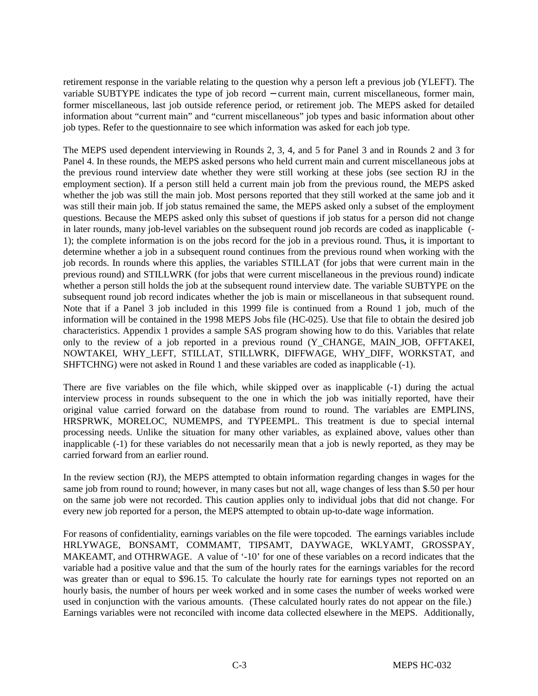retirement response in the variable relating to the question why a person left a previous job (YLEFT). The variable SUBTYPE indicates the type of job record − current main, current miscellaneous, former main, former miscellaneous, last job outside reference period, or retirement job. The MEPS asked for detailed information about "current main" and "current miscellaneous" job types and basic information about other job types. Refer to the questionnaire to see which information was asked for each job type.

The MEPS used dependent interviewing in Rounds 2, 3, 4, and 5 for Panel 3 and in Rounds 2 and 3 for Panel 4. In these rounds, the MEPS asked persons who held current main and current miscellaneous jobs at the previous round interview date whether they were still working at these jobs (see section RJ in the employment section). If a person still held a current main job from the previous round, the MEPS asked whether the job was still the main job. Most persons reported that they still worked at the same job and it was still their main job. If job status remained the same, the MEPS asked only a subset of the employment questions. Because the MEPS asked only this subset of questions if job status for a person did not change in later rounds, many job-level variables on the subsequent round job records are coded as inapplicable (- 1); the complete information is on the jobs record for the job in a previous round. Thus**,** it is important to determine whether a job in a subsequent round continues from the previous round when working with the job records. In rounds where this applies, the variables STILLAT (for jobs that were current main in the previous round) and STILLWRK (for jobs that were current miscellaneous in the previous round) indicate whether a person still holds the job at the subsequent round interview date. The variable SUBTYPE on the subsequent round job record indicates whether the job is main or miscellaneous in that subsequent round. Note that if a Panel 3 job included in this 1999 file is continued from a Round 1 job, much of the information will be contained in the 1998 MEPS Jobs file (HC-025). Use that file to obtain the desired job characteristics. Appendix 1 provides a sample SAS program showing how to do this. Variables that relate only to the review of a job reported in a previous round (Y\_CHANGE, MAIN\_JOB, OFFTAKEI, NOWTAKEI, WHY\_LEFT, STILLAT, STILLWRK, DIFFWAGE, WHY\_DIFF, WORKSTAT, and SHFTCHNG) were not asked in Round 1 and these variables are coded as inapplicable (-1).

There are five variables on the file which, while skipped over as inapplicable (-1) during the actual interview process in rounds subsequent to the one in which the job was initially reported, have their original value carried forward on the database from round to round. The variables are EMPLINS, HRSPRWK, MORELOC, NUMEMPS, and TYPEEMPL. This treatment is due to special internal processing needs. Unlike the situation for many other variables, as explained above, values other than inapplicable (-1) for these variables do not necessarily mean that a job is newly reported, as they may be carried forward from an earlier round.

In the review section (RJ), the MEPS attempted to obtain information regarding changes in wages for the same job from round to round; however, in many cases but not all, wage changes of less than \$.50 per hour on the same job were not recorded. This caution applies only to individual jobs that did not change. For every new job reported for a person, the MEPS attempted to obtain up-to-date wage information.

For reasons of confidentiality, earnings variables on the file were topcoded. The earnings variables include HRLYWAGE, BONSAMT, COMMAMT, TIPSAMT, DAYWAGE, WKLYAMT, GROSSPAY, MAKEAMT, and OTHRWAGE. A value of '-10' for one of these variables on a record indicates that the variable had a positive value and that the sum of the hourly rates for the earnings variables for the record was greater than or equal to \$96.15. To calculate the hourly rate for earnings types not reported on an hourly basis, the number of hours per week worked and in some cases the number of weeks worked were used in conjunction with the various amounts. (These calculated hourly rates do not appear on the file.) Earnings variables were not reconciled with income data collected elsewhere in the MEPS. Additionally,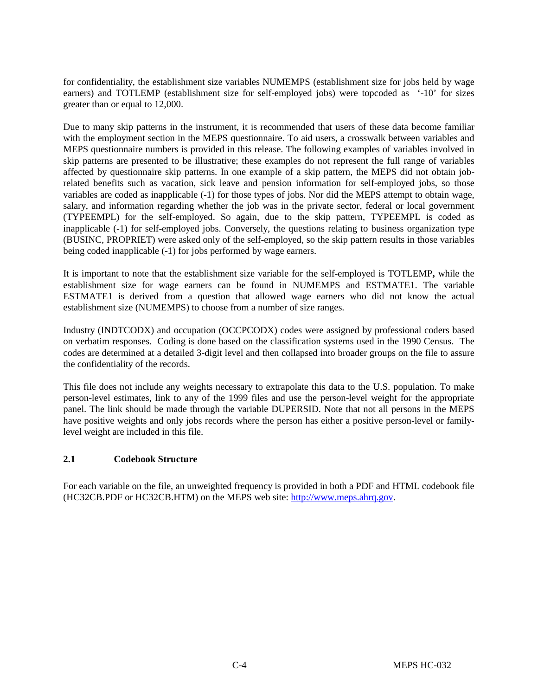for confidentiality, the establishment size variables NUMEMPS (establishment size for jobs held by wage earners) and TOTLEMP (establishment size for self-employed jobs) were topcoded as '-10' for sizes greater than or equal to 12,000.

Due to many skip patterns in the instrument, it is recommended that users of these data become familiar with the employment section in the MEPS questionnaire. To aid users, a crosswalk between variables and MEPS questionnaire numbers is provided in this release. The following examples of variables involved in skip patterns are presented to be illustrative; these examples do not represent the full range of variables affected by questionnaire skip patterns. In one example of a skip pattern, the MEPS did not obtain jobrelated benefits such as vacation, sick leave and pension information for self-employed jobs, so those variables are coded as inapplicable (-1) for those types of jobs. Nor did the MEPS attempt to obtain wage, salary, and information regarding whether the job was in the private sector, federal or local government (TYPEEMPL) for the self-employed. So again, due to the skip pattern, TYPEEMPL is coded as inapplicable (-1) for self-employed jobs. Conversely, the questions relating to business organization type (BUSINC, PROPRIET) were asked only of the self-employed, so the skip pattern results in those variables being coded inapplicable (-1) for jobs performed by wage earners.

It is important to note that the establishment size variable for the self-employed is TOTLEMP**,** while the establishment size for wage earners can be found in NUMEMPS and ESTMATE1. The variable ESTMATE1 is derived from a question that allowed wage earners who did not know the actual establishment size (NUMEMPS) to choose from a number of size ranges.

Industry (INDTCODX) and occupation (OCCPCODX) codes were assigned by professional coders based on verbatim responses. Coding is done based on the classification systems used in the 1990 Census. The codes are determined at a detailed 3-digit level and then collapsed into broader groups on the file to assure the confidentiality of the records.

This file does not include any weights necessary to extrapolate this data to the U.S. population. To make person-level estimates, link to any of the 1999 files and use the person-level weight for the appropriate panel. The link should be made through the variable DUPERSID. Note that not all persons in the MEPS have positive weights and only jobs records where the person has either a positive person-level or familylevel weight are included in this file.

#### **2.1 Codebook Structure**

For each variable on the file, an unweighted frequency is provided in both a PDF and HTML codebook file (HC32CB.PDF or HC32CB.HTM) on the MEPS web site: http://www.meps.ahrq.gov.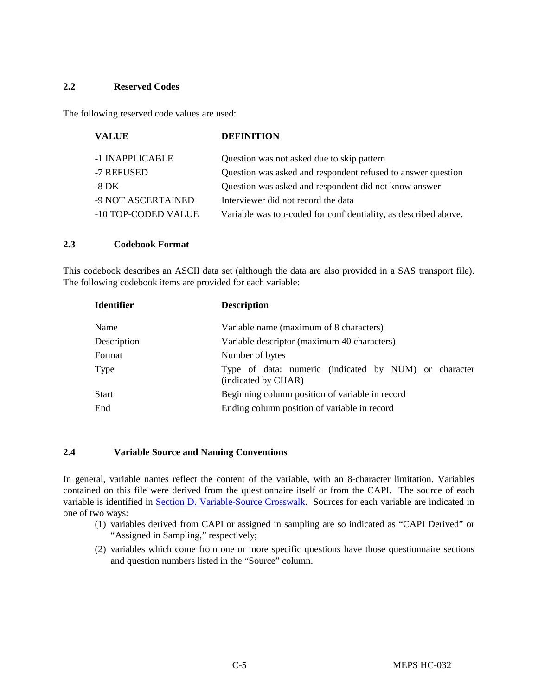#### **2.2 Reserved Codes**

The following reserved code values are used:

| <b>VALUE</b>        | <b>DEFINITION</b>                                               |
|---------------------|-----------------------------------------------------------------|
| -1 INAPPLICABLE     | Question was not asked due to skip pattern                      |
| -7 REFUSED          | Question was asked and respondent refused to answer question    |
| -8 DK               | Question was asked and respondent did not know answer           |
| -9 NOT ASCERTAINED  | Interviewer did not record the data                             |
| -10 TOP-CODED VALUE | Variable was top-coded for confidentiality, as described above. |

#### **2.3 Codebook Format**

This codebook describes an ASCII data set (although the data are also provided in a SAS transport file). The following codebook items are provided for each variable:

| <b>Identifier</b> | <b>Description</b>                                                           |  |  |  |  |  |
|-------------------|------------------------------------------------------------------------------|--|--|--|--|--|
| Name              | Variable name (maximum of 8 characters)                                      |  |  |  |  |  |
| Description       | Variable descriptor (maximum 40 characters)                                  |  |  |  |  |  |
| Format            | Number of bytes                                                              |  |  |  |  |  |
| Type              | Type of data: numeric (indicated by NUM) or character<br>(indicated by CHAR) |  |  |  |  |  |
| <b>Start</b>      | Beginning column position of variable in record                              |  |  |  |  |  |
| End               | Ending column position of variable in record                                 |  |  |  |  |  |

#### **2.4 Variable Source and Naming Conventions**

In general, variable names reflect the content of the variable, with an 8-character limitation. Variables contained on this file were derived from the questionnaire itself or from the CAPI. The source of each variable is identified in Section D. Variable-Source Crosswalk. Sources for each variable are indicated in one of two ways:

- (1) variables derived from CAPI or assigned in sampling are so indicated as "CAPI Derived" or "Assigned in Sampling," respectively;
- (2) variables which come from one or more specific questions have those questionnaire sections and question numbers listed in the "Source" column.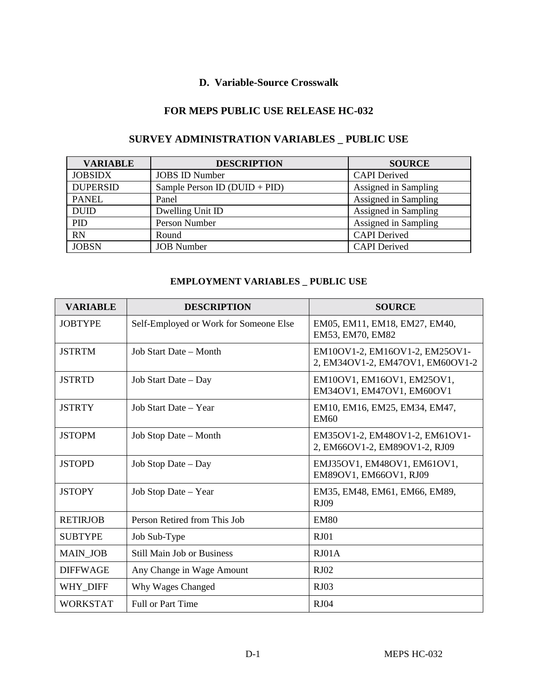## **D. Variable-Source Crosswalk**

#### **FOR MEPS PUBLIC USE RELEASE HC-032**

| <b>VARIABLE</b> | <b>DESCRIPTION</b>              | <b>SOURCE</b>        |
|-----------------|---------------------------------|----------------------|
| <b>JOBSIDX</b>  | <b>JOBS ID Number</b>           | <b>CAPI</b> Derived  |
| <b>DUPERSID</b> | Sample Person ID $(DUID + PID)$ | Assigned in Sampling |
| <b>PANEL</b>    | Panel                           | Assigned in Sampling |
| <b>DUID</b>     | Dwelling Unit ID                | Assigned in Sampling |
| PID             | Person Number                   | Assigned in Sampling |
| <b>RN</b>       | Round                           | <b>CAPI</b> Derived  |
| <b>JOBSN</b>    | <b>JOB</b> Number               | <b>CAPI</b> Derived  |

# **SURVEY ADMINISTRATION VARIABLES \_ PUBLIC USE**

### **EMPLOYMENT VARIABLES \_ PUBLIC USE**

| <b>VARIABLE</b> | <b>DESCRIPTION</b>                     | <b>SOURCE</b>                                                      |
|-----------------|----------------------------------------|--------------------------------------------------------------------|
| <b>JOBTYPE</b>  | Self-Employed or Work for Someone Else | EM05, EM11, EM18, EM27, EM40,<br>EM53, EM70, EM82                  |
| <b>JSTRTM</b>   | Job Start Date – Month                 | EM10OV1-2, EM16OV1-2, EM25OV1-<br>2, EM34OV1-2, EM47OV1, EM60OV1-2 |
| <b>JSTRTD</b>   | Job Start Date – Day                   | EM10OV1, EM16OV1, EM25OV1,<br>EM34OV1, EM47OV1, EM60OV1            |
| <b>JSTRTY</b>   | Job Start Date - Year                  | EM10, EM16, EM25, EM34, EM47,<br><b>EM60</b>                       |
| <b>JSTOPM</b>   | Job Stop Date – Month                  | EM35OV1-2, EM48OV1-2, EM61OV1-<br>2, EM66OV1-2, EM89OV1-2, RJ09    |
| <b>JSTOPD</b>   | Job Stop Date – Day                    | EMJ35OV1, EM48OV1, EM61OV1,<br>EM89OV1, EM66OV1, RJ09              |
| <b>JSTOPY</b>   | Job Stop Date – Year                   | EM35, EM48, EM61, EM66, EM89,<br><b>RJ09</b>                       |
| <b>RETIRJOB</b> | Person Retired from This Job           | <b>EM80</b>                                                        |
| <b>SUBTYPE</b>  | Job Sub-Type                           | RJ01                                                               |
| <b>MAIN JOB</b> | <b>Still Main Job or Business</b>      | $R_{J}01A$                                                         |
| <b>DIFFWAGE</b> | Any Change in Wage Amount              | RJ02                                                               |
| WHY DIFF        | Why Wages Changed                      | RJ03                                                               |
| <b>WORKSTAT</b> | <b>Full or Part Time</b>               | <b>RJ04</b>                                                        |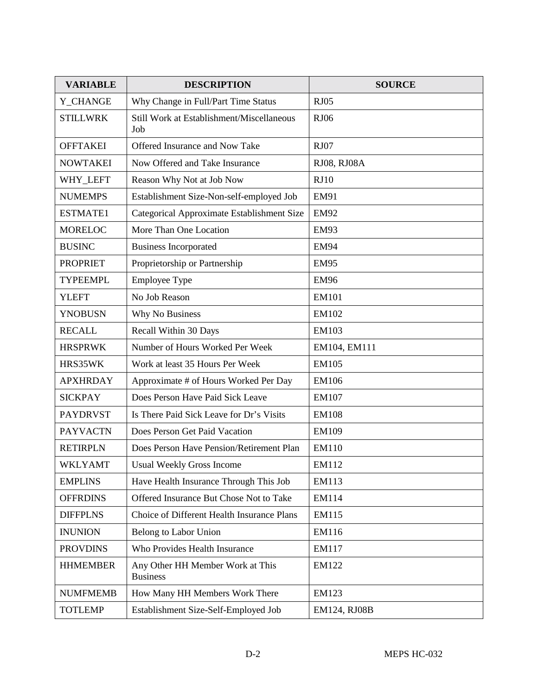| <b>VARIABLE</b> | <b>DESCRIPTION</b>                                  | <b>SOURCE</b> |
|-----------------|-----------------------------------------------------|---------------|
| Y_CHANGE        | Why Change in Full/Part Time Status                 | <b>RJ05</b>   |
| <b>STILLWRK</b> | Still Work at Establishment/Miscellaneous<br>Job    | <b>RJ06</b>   |
| <b>OFFTAKEI</b> | Offered Insurance and Now Take                      | <b>RJ07</b>   |
| <b>NOWTAKEI</b> | Now Offered and Take Insurance                      | RJ08, RJ08A   |
| WHY LEFT        | Reason Why Not at Job Now                           | RJ10          |
| <b>NUMEMPS</b>  | Establishment Size-Non-self-employed Job            | <b>EM91</b>   |
| ESTMATE1        | Categorical Approximate Establishment Size          | <b>EM92</b>   |
| <b>MORELOC</b>  | More Than One Location                              | <b>EM93</b>   |
| <b>BUSINC</b>   | <b>Business Incorporated</b>                        | <b>EM94</b>   |
| <b>PROPRIET</b> | Proprietorship or Partnership                       | <b>EM95</b>   |
| <b>TYPEEMPL</b> | <b>Employee Type</b>                                | <b>EM96</b>   |
| <b>YLEFT</b>    | No Job Reason                                       | <b>EM101</b>  |
| <b>YNOBUSN</b>  | Why No Business                                     | EM102         |
| <b>RECALL</b>   | Recall Within 30 Days                               | EM103         |
| <b>HRSPRWK</b>  | Number of Hours Worked Per Week                     | EM104, EM111  |
| HRS35WK         | Work at least 35 Hours Per Week                     | <b>EM105</b>  |
| <b>APXHRDAY</b> | Approximate # of Hours Worked Per Day               | <b>EM106</b>  |
| <b>SICKPAY</b>  | Does Person Have Paid Sick Leave                    | EM107         |
| <b>PAYDRVST</b> | Is There Paid Sick Leave for Dr's Visits            | <b>EM108</b>  |
| <b>PAYVACTN</b> | Does Person Get Paid Vacation                       | EM109         |
| <b>RETIRPLN</b> | Does Person Have Pension/Retirement Plan            | EM110         |
| <b>WKLYAMT</b>  | <b>Usual Weekly Gross Income</b>                    | EM112         |
| <b>EMPLINS</b>  | Have Health Insurance Through This Job              | EM113         |
| <b>OFFRDINS</b> | Offered Insurance But Chose Not to Take             | EM114         |
| <b>DIFFPLNS</b> | Choice of Different Health Insurance Plans          | EM115         |
| <b>INUNION</b>  | Belong to Labor Union                               | EM116         |
| <b>PROVDINS</b> | Who Provides Health Insurance                       | EM117         |
| <b>HHMEMBER</b> | Any Other HH Member Work at This<br><b>Business</b> | EM122         |
| <b>NUMFMEMB</b> | How Many HH Members Work There                      | EM123         |
| <b>TOTLEMP</b>  | Establishment Size-Self-Employed Job                | EM124, RJ08B  |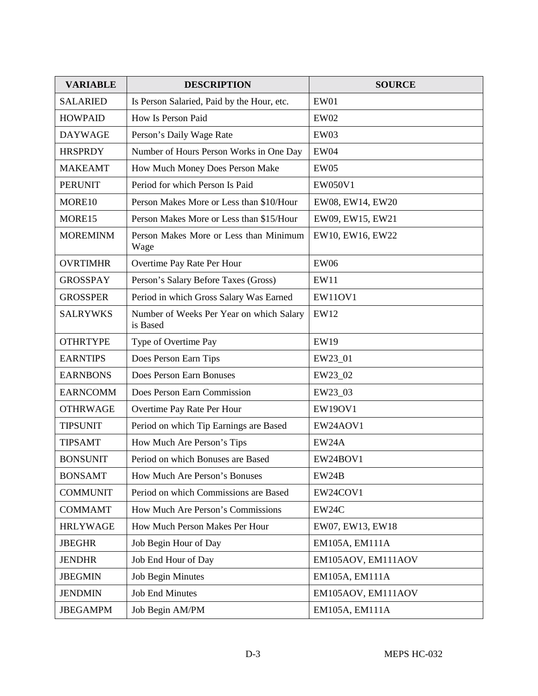| <b>VARIABLE</b> | <b>DESCRIPTION</b>                                   | <b>SOURCE</b>      |  |  |
|-----------------|------------------------------------------------------|--------------------|--|--|
| <b>SALARIED</b> | Is Person Salaried, Paid by the Hour, etc.           | EW01               |  |  |
| <b>HOWPAID</b>  | How Is Person Paid                                   | <b>EW02</b>        |  |  |
| <b>DAYWAGE</b>  | Person's Daily Wage Rate                             | EW03               |  |  |
| <b>HRSPRDY</b>  | Number of Hours Person Works in One Day              | EW04               |  |  |
| <b>MAKEAMT</b>  | How Much Money Does Person Make                      | EW05               |  |  |
| <b>PERUNIT</b>  | Period for which Person Is Paid                      | EW050V1            |  |  |
| MORE10          | Person Makes More or Less than \$10/Hour             | EW08, EW14, EW20   |  |  |
| MORE15          | Person Makes More or Less than \$15/Hour             | EW09, EW15, EW21   |  |  |
| <b>MOREMINM</b> | Person Makes More or Less than Minimum<br>Wage       | EW10, EW16, EW22   |  |  |
| <b>OVRTIMHR</b> | Overtime Pay Rate Per Hour                           | <b>EW06</b>        |  |  |
| <b>GROSSPAY</b> | Person's Salary Before Taxes (Gross)                 | EW11               |  |  |
| <b>GROSSPER</b> | Period in which Gross Salary Was Earned              | <b>EW11OV1</b>     |  |  |
| <b>SALRYWKS</b> | Number of Weeks Per Year on which Salary<br>is Based | <b>EW12</b>        |  |  |
| <b>OTHRTYPE</b> | Type of Overtime Pay                                 | <b>EW19</b>        |  |  |
| <b>EARNTIPS</b> | Does Person Earn Tips                                | EW23_01            |  |  |
| <b>EARNBONS</b> | Does Person Earn Bonuses                             | EW23_02            |  |  |
| <b>EARNCOMM</b> | Does Person Earn Commission                          | EW23_03            |  |  |
| <b>OTHRWAGE</b> | Overtime Pay Rate Per Hour                           | <b>EW19OV1</b>     |  |  |
| <b>TIPSUNIT</b> | Period on which Tip Earnings are Based               | EW24AOV1           |  |  |
| <b>TIPSAMT</b>  | How Much Are Person's Tips                           | EW24A              |  |  |
| <b>BONSUNIT</b> | Period on which Bonuses are Based                    | EW24BOV1           |  |  |
| <b>BONSAMT</b>  | How Much Are Person's Bonuses                        | EW24B              |  |  |
| <b>COMMUNIT</b> | Period on which Commissions are Based                | EW24COV1           |  |  |
| <b>COMMAMT</b>  | How Much Are Person's Commissions                    | EW24C              |  |  |
| <b>HRLYWAGE</b> | How Much Person Makes Per Hour                       | EW07, EW13, EW18   |  |  |
| <b>JBEGHR</b>   | Job Begin Hour of Day                                | EM105A, EM111A     |  |  |
| <b>JENDHR</b>   | Job End Hour of Day                                  | EM105AOV, EM111AOV |  |  |
| <b>JBEGMIN</b>  | <b>Job Begin Minutes</b>                             | EM105A, EM111A     |  |  |
| <b>JENDMIN</b>  | <b>Job End Minutes</b>                               | EM105AOV, EM111AOV |  |  |
| <b>JBEGAMPM</b> | Job Begin AM/PM                                      | EM105A, EM111A     |  |  |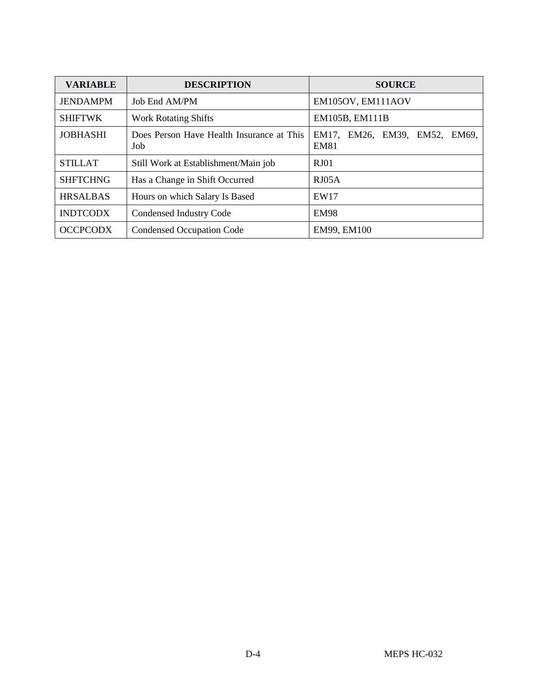| <b>VARIABLE</b> | <b>DESCRIPTION</b>                               | <b>SOURCE</b>                                |  |  |  |  |  |
|-----------------|--------------------------------------------------|----------------------------------------------|--|--|--|--|--|
| <b>JENDAMPM</b> | Job End AM/PM                                    | EM105OV, EM111AOV                            |  |  |  |  |  |
| <b>SHIFTWK</b>  | <b>Work Rotating Shifts</b>                      | EM105B, EM111B                               |  |  |  |  |  |
| <b>JOBHASHI</b> | Does Person Have Health Insurance at This<br>Job | EM17, EM26, EM39, EM52, EM69,<br><b>EM81</b> |  |  |  |  |  |
| <b>STILLAT</b>  | Still Work at Establishment/Main job             | $R_{J}01$                                    |  |  |  |  |  |
| <b>SHFTCHNG</b> | Has a Change in Shift Occurred                   | RJO5A                                        |  |  |  |  |  |
| <b>HRSALBAS</b> | Hours on which Salary Is Based                   | EW17                                         |  |  |  |  |  |
| <b>INDTCODX</b> | Condensed Industry Code                          | <b>EM98</b>                                  |  |  |  |  |  |
| <b>OCCPCODX</b> | <b>Condensed Occupation Code</b>                 | EM99, EM100                                  |  |  |  |  |  |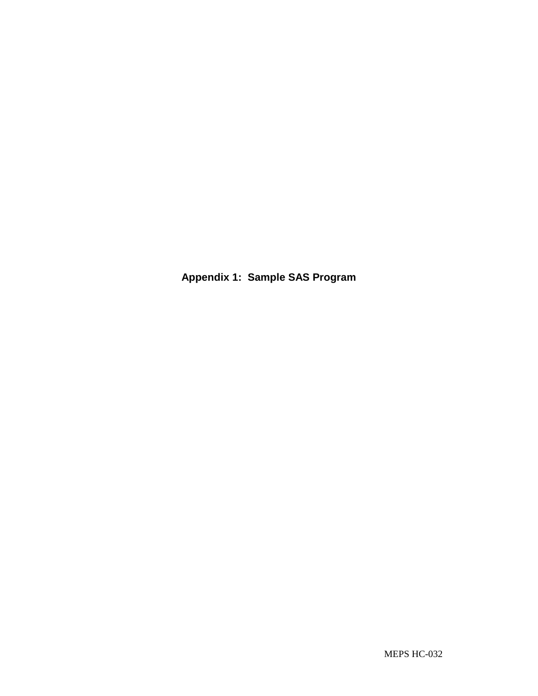**Appendix 1: Sample SAS Program**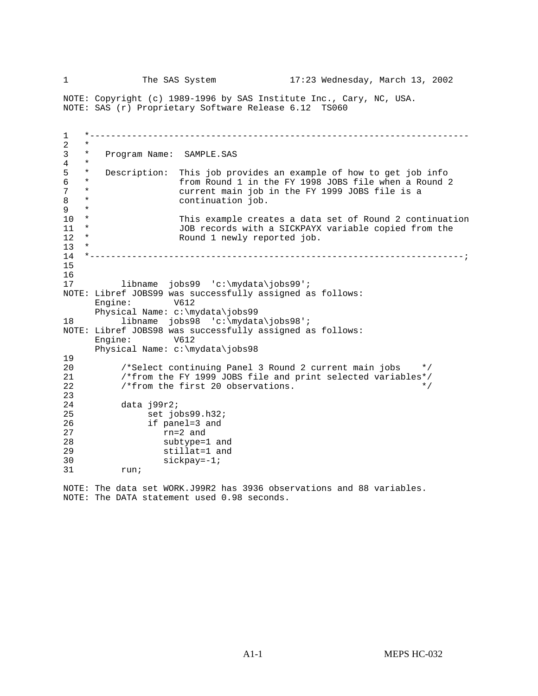1 The SAS System 17:23 Wednesday, March 13, 2002

NOTE: Copyright (c) 1989-1996 by SAS Institute Inc., Cary, NC, USA. NOTE: SAS (r) Proprietary Software Release 6.12 TS060

1 \*------------------------------------------------------------------------  $\begin{matrix} 2 & * \\ 3 & * \end{matrix}$ \* Program Name: SAMPLE.SAS  $\begin{matrix} 4 & * \\ 5 & * \end{matrix}$ \* Description: This job provides an example of how to get job info<br>\* from Bound 1 in the EY 1998 JOBS file when a Bound 2 6 \* from Round 1 in the FY 1998 JOBS file when a Round 2 7 \* current main job in the FY 1999 JOBS file is a<br>8 \* continuation job. 8 \* continuation job.<br>9 \*  $\begin{matrix} 9 & * \\ 10 & * \end{matrix}$ 10 \* This example creates a data set of Round 2 continuation<br>11 \* JOB records with a SICKPAYX variable copied from the 11 \* JOB records with a SICKPAYX variable copied from the 12 \* Round 1 newly reported job. Round 1 newly reported job.  $\frac{13}{14}$ 14 \*-----------------------------------------------------------------------; 15  $\frac{16}{17}$ libname jobs99 'c:\mydata\jobs99'; NOTE: Libref JOBS99 was successfully assigned as follows: Engine: V612 Physical Name: c:\mydata\jobs99 18 libname jobs98 'c:\mydata\jobs98'; NOTE: Libref JOBS98 was successfully assigned as follows: Engine: V612 Physical Name: c:\mydata\jobs98 19<br>20 20 /\*Select continuing Panel 3 Round 2 current main jobs \*/<br>21 /\*from the FY 1999 JOBS file and print selected variables\*/ 21 /\*from the FY 1999 JOBS file and print selected variables\*/<br>22 /\*from the first 20 observations.  $/*$  from the first 20 observations.  $\frac{23}{24}$ data j99r2; 25 set jobs99.h32; 26 if panel=3 and 27 rn=2 and 28 subtype=1 and 29 stillat=1 and 30 sickpay=-1;<br>31 run; run;

NOTE: The data set WORK.J99R2 has 3936 observations and 88 variables. NOTE: The DATA statement used 0.98 seconds.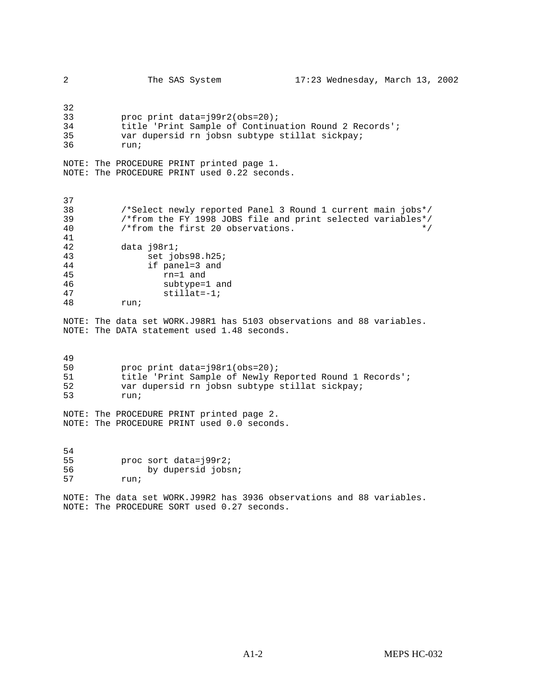| 2                                            | The SAS System                                                                                                                                                                                                      | 17:23 Wednesday, March 13, 2002 |       |  |
|----------------------------------------------|---------------------------------------------------------------------------------------------------------------------------------------------------------------------------------------------------------------------|---------------------------------|-------|--|
| 32<br>33<br>34<br>35<br>36                   | proc print data=j99r2(obs=20);<br>title 'Print Sample of Continuation Round 2 Records';<br>var dupersid rn jobsn subtype stillat sickpay;<br>run;                                                                   |                                 |       |  |
|                                              | NOTE: The PROCEDURE PRINT printed page 1.<br>NOTE: The PROCEDURE PRINT used 0.22 seconds.                                                                                                                           |                                 |       |  |
| 37<br>38<br>39<br>40<br>41<br>42<br>43<br>44 | /*Select newly reported Panel 3 Round 1 current main jobs*/<br>/*from the FY 1998 JOBS file and print selected variables*/<br>/*from the first 20 observations.<br>data j98r1;<br>set jobs98.h25;<br>if panel=3 and |                                 | $*$ / |  |
| 45<br>46<br>47<br>48                         | rn=1 and<br>subtype=1 and<br>$stillat=-1;$<br>run;                                                                                                                                                                  |                                 |       |  |
|                                              | NOTE: The data set WORK.J98R1 has 5103 observations and 88 variables.<br>NOTE: The DATA statement used 1.48 seconds.                                                                                                |                                 |       |  |
| 49<br>50<br>51<br>52<br>53                   | proc print data=j98r1(obs=20);<br>title 'Print Sample of Newly Reported Round 1 Records';<br>var dupersid rn jobsn subtype stillat sickpay;<br>run;                                                                 |                                 |       |  |
|                                              | NOTE: The PROCEDURE PRINT printed page 2.<br>NOTE: The PROCEDURE PRINT used 0.0 seconds.                                                                                                                            |                                 |       |  |
| 54<br>55<br>56<br>57                         | proc sort data=j99r2;<br>by dupersid jobsn;<br>run;                                                                                                                                                                 |                                 |       |  |
|                                              | NOTE: The data set WORK.J99R2 has 3936 observations and 88 variables.<br>NOTE: The PROCEDURE SORT used 0.27 seconds.                                                                                                |                                 |       |  |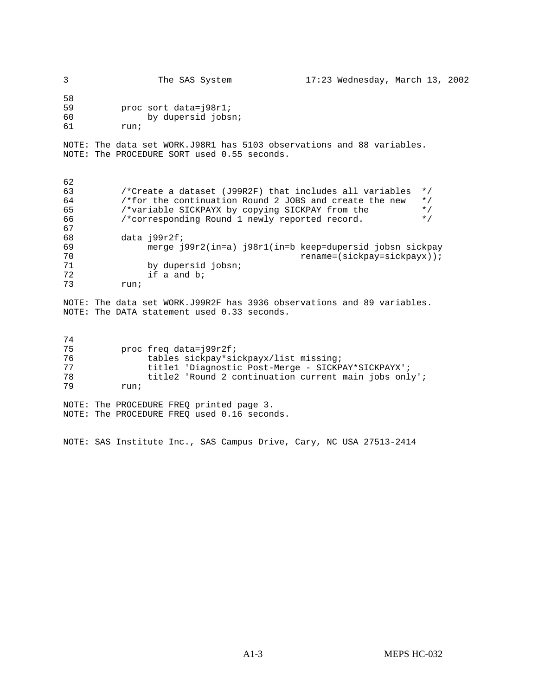| 3                            | The SAS System                              | $17:23$ Wednesday, March 13, 2002 |  |  |
|------------------------------|---------------------------------------------|-----------------------------------|--|--|
| 58<br>59<br>60<br>61<br>run; | proc sort data=198r1;<br>by dupersid jobsn; |                                   |  |  |

NOTE: The data set WORK.J98R1 has 5103 observations and 88 variables. NOTE: The PROCEDURE SORT used 0.55 seconds.

| 62 |                                                                      |
|----|----------------------------------------------------------------------|
|    |                                                                      |
| 63 | $\star$ /<br>/*Create a dataset (J99R2F) that includes all variables |
| 64 | /*for the continuation Round 2 JOBS and create the new<br>$\star$ /  |
| 65 | /*variable SICKPAYX by copying SICKPAY from the<br>$\star$ /         |
| 66 | /*corresponding Round 1 newly reported record.<br>$\star$ /          |
| 67 |                                                                      |
| 68 | data j99r2f;                                                         |
| 69 | merge j99r2(in=a) j98r1(in=b keep=dupersid jobsn sickpay             |
| 70 | $rename = (sickpay = sickpayx))$ ;                                   |
| 71 | by dupersid jobsn;                                                   |
| 72 | if a and b;                                                          |
| 73 | run;                                                                 |

NOTE: The data set WORK.J99R2F has 3936 observations and 89 variables. NOTE: The DATA statement used 0.33 seconds.

| 74 |      |                        |  |                                                       |  |  |
|----|------|------------------------|--|-------------------------------------------------------|--|--|
| 75 |      | proc freq data=199r2f; |  |                                                       |  |  |
| 76 |      |                        |  | tables sickpay*sickpayx/list missing;                 |  |  |
| 77 |      |                        |  | title1 'Diagnostic Post-Merge - SICKPAY*SICKPAYX';    |  |  |
| 78 |      |                        |  | title2 'Round 2 continuation current main jobs only'; |  |  |
| 79 | run; |                        |  |                                                       |  |  |
|    |      |                        |  |                                                       |  |  |

NOTE: The PROCEDURE FREQ printed page 3. NOTE: The PROCEDURE FREQ used 0.16 seconds.

NOTE: SAS Institute Inc., SAS Campus Drive, Cary, NC USA 27513-2414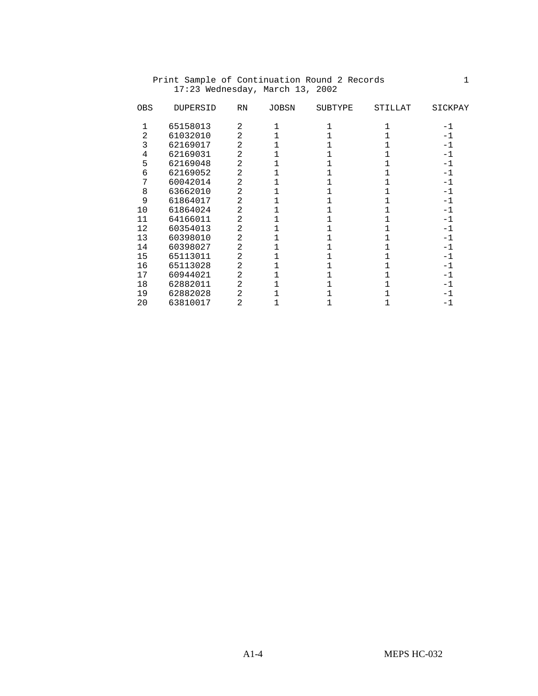| 2<br>65158013<br>$-1$<br>2<br>2<br>61032010<br>-1<br>3<br>62169017<br>2<br>-1<br>62169031<br>2<br>4<br>$-1$<br>2<br>62169048<br>5<br>$-1$<br>2<br>62169052<br>6<br>-1<br>60042014<br>7<br>2<br>$-1$<br>2<br>8<br>63662010<br>$-1$<br>2<br>9<br>61864017<br>-1<br>61864024<br>10<br>2<br>$-1$<br>2<br>64166011<br>11<br>$^{-1}$<br>2<br>12<br>60354013<br>$-1$<br>13<br>60398010<br>2<br>$-1$<br>2<br>14<br>60398027<br>$-1$<br>2<br>15<br>65113011<br>$-1$<br>16<br>65113028<br>2<br>$-1$<br>2<br>17<br>60944021<br>$-1$<br>18<br>62882011<br>2<br>-1<br>62882028<br>2<br>19<br>$-1$<br>20<br>2<br>-1 | <b>OBS</b> | <b>DUPERSID</b> | <b>RN</b> | <b>JOBSN</b> | <b>SUBTYPE</b> | STILLAT | SICKPAY |
|-------------------------------------------------------------------------------------------------------------------------------------------------------------------------------------------------------------------------------------------------------------------------------------------------------------------------------------------------------------------------------------------------------------------------------------------------------------------------------------------------------------------------------------------------------------------------------------------------------|------------|-----------------|-----------|--------------|----------------|---------|---------|
|                                                                                                                                                                                                                                                                                                                                                                                                                                                                                                                                                                                                       |            |                 |           |              |                |         |         |
|                                                                                                                                                                                                                                                                                                                                                                                                                                                                                                                                                                                                       |            |                 |           |              |                |         |         |
|                                                                                                                                                                                                                                                                                                                                                                                                                                                                                                                                                                                                       |            |                 |           |              |                |         |         |
|                                                                                                                                                                                                                                                                                                                                                                                                                                                                                                                                                                                                       |            |                 |           |              |                |         |         |
|                                                                                                                                                                                                                                                                                                                                                                                                                                                                                                                                                                                                       |            |                 |           |              |                |         |         |
|                                                                                                                                                                                                                                                                                                                                                                                                                                                                                                                                                                                                       |            |                 |           |              |                |         |         |
|                                                                                                                                                                                                                                                                                                                                                                                                                                                                                                                                                                                                       |            |                 |           |              |                |         |         |
|                                                                                                                                                                                                                                                                                                                                                                                                                                                                                                                                                                                                       |            |                 |           |              |                |         |         |
|                                                                                                                                                                                                                                                                                                                                                                                                                                                                                                                                                                                                       |            |                 |           |              |                |         |         |
|                                                                                                                                                                                                                                                                                                                                                                                                                                                                                                                                                                                                       |            |                 |           |              |                |         |         |
|                                                                                                                                                                                                                                                                                                                                                                                                                                                                                                                                                                                                       |            |                 |           |              |                |         |         |
|                                                                                                                                                                                                                                                                                                                                                                                                                                                                                                                                                                                                       |            |                 |           |              |                |         |         |
|                                                                                                                                                                                                                                                                                                                                                                                                                                                                                                                                                                                                       |            |                 |           |              |                |         |         |
|                                                                                                                                                                                                                                                                                                                                                                                                                                                                                                                                                                                                       |            |                 |           |              |                |         |         |
|                                                                                                                                                                                                                                                                                                                                                                                                                                                                                                                                                                                                       |            |                 |           |              |                |         |         |
|                                                                                                                                                                                                                                                                                                                                                                                                                                                                                                                                                                                                       |            |                 |           |              |                |         |         |
|                                                                                                                                                                                                                                                                                                                                                                                                                                                                                                                                                                                                       |            |                 |           |              |                |         |         |
|                                                                                                                                                                                                                                                                                                                                                                                                                                                                                                                                                                                                       |            |                 |           |              |                |         |         |
|                                                                                                                                                                                                                                                                                                                                                                                                                                                                                                                                                                                                       |            |                 |           |              |                |         |         |
|                                                                                                                                                                                                                                                                                                                                                                                                                                                                                                                                                                                                       |            | 63810017        |           |              |                |         |         |

#### Print Sample of Continuation Round 2 Records 1 17:23 Wednesday, March 13, 2002